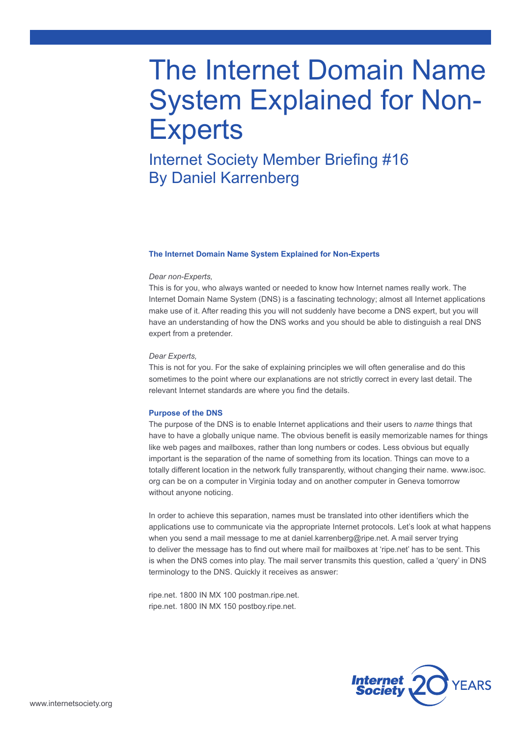# The Internet Domain Name System Explained for Non-**Experts**

# Internet Society Member Briefing #16 By Daniel Karrenberg

### **The Internet Domain Name System Explained for Non-Experts**

#### *Dear non-Experts,*

This is for you, who always wanted or needed to know how Internet names really work. The Internet Domain Name System (DNS) is a fascinating technology; almost all Internet applications make use of it. After reading this you will not suddenly have become a DNS expert, but you will have an understanding of how the DNS works and you should be able to distinguish a real DNS expert from a pretender.

### *Dear Experts,*

This is not for you. For the sake of explaining principles we will often generalise and do this sometimes to the point where our explanations are not strictly correct in every last detail. The relevant Internet standards are where you find the details.

# **Purpose of the DNS**

The purpose of the DNS is to enable Internet applications and their users to *name* things that have to have a globally unique name. The obvious benefit is easily memorizable names for things like web pages and mailboxes, rather than long numbers or codes. Less obvious but equally important is the separation of the name of something from its location. Things can move to a totally different location in the network fully transparently, without changing their name. www.isoc. org can be on a computer in Virginia today and on another computer in Geneva tomorrow without anyone noticing.

In order to achieve this separation, names must be translated into other identifiers which the applications use to communicate via the appropriate Internet protocols. Let's look at what happens when you send a mail message to me at daniel.karrenberg@ripe.net. A mail server trying to deliver the message has to find out where mail for mailboxes at 'ripe.net' has to be sent. This is when the DNS comes into play. The mail server transmits this question, called a 'query' in DNS terminology to the DNS. Quickly it receives as answer:

ripe.net. 1800 IN MX 100 postman.ripe.net. ripe.net. 1800 IN MX 150 postboy.ripe.net.

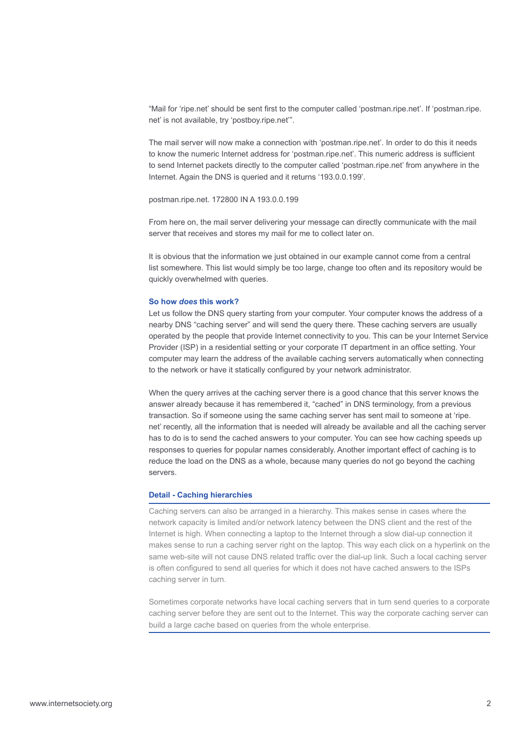"Mail for 'ripe.net' should be sent first to the computer called 'postman.ripe.net'. If 'postman.ripe. net' is not available, try 'postboy.ripe.net'".

The mail server will now make a connection with 'postman.ripe.net'. In order to do this it needs to know the numeric Internet address for 'postman.ripe.net'. This numeric address is sufficient to send Internet packets directly to the computer called 'postman.ripe.net' from anywhere in the Internet. Again the DNS is queried and it returns '193.0.0.199'.

postman.ripe.net. 172800 IN A 193.0.0.199

From here on, the mail server delivering your message can directly communicate with the mail server that receives and stores my mail for me to collect later on.

It is obvious that the information we just obtained in our example cannot come from a central list somewhere. This list would simply be too large, change too often and its repository would be quickly overwhelmed with queries.

# **So how** *does* **this work?**

Let us follow the DNS query starting from your computer. Your computer knows the address of a nearby DNS "caching server" and will send the query there. These caching servers are usually operated by the people that provide Internet connectivity to you. This can be your Internet Service Provider (ISP) in a residential setting or your corporate IT department in an office setting. Your computer may learn the address of the available caching servers automatically when connecting to the network or have it statically configured by your network administrator.

When the query arrives at the caching server there is a good chance that this server knows the answer already because it has remembered it, "cached" in DNS terminology, from a previous transaction. So if someone using the same caching server has sent mail to someone at 'ripe. net' recently, all the information that is needed will already be available and all the caching server has to do is to send the cached answers to your computer. You can see how caching speeds up responses to queries for popular names considerably. Another important effect of caching is to reduce the load on the DNS as a whole, because many queries do not go beyond the caching servers.

# **Detail - Caching hierarchies**

Caching servers can also be arranged in a hierarchy. This makes sense in cases where the network capacity is limited and/or network latency between the DNS client and the rest of the Internet is high. When connecting a laptop to the Internet through a slow dial-up connection it makes sense to run a caching server right on the laptop. This way each click on a hyperlink on the same web-site will not cause DNS related traffic over the dial-up link. Such a local caching server is often configured to send all queries for which it does not have cached answers to the ISPs caching server in turn.

Sometimes corporate networks have local caching servers that in turn send queries to a corporate caching server before they are sent out to the Internet. This way the corporate caching server can build a large cache based on queries from the whole enterprise.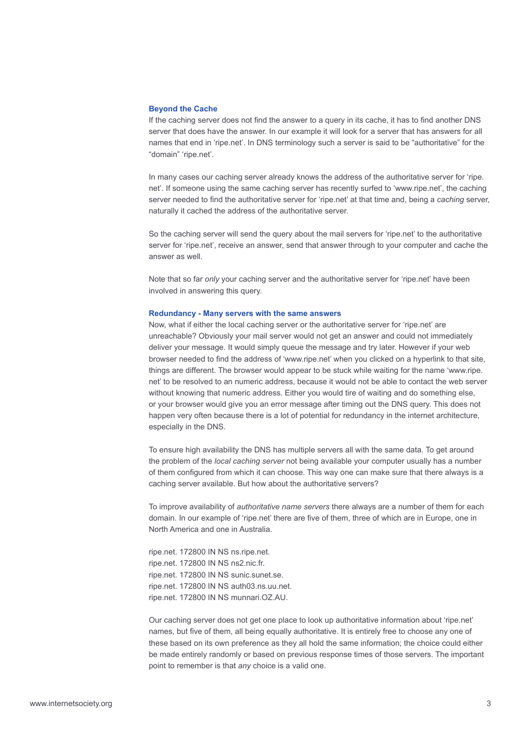#### **Beyond the Cache**

If the caching server does not find the answer to a query in its cache, it has to find another DNS server that does have the answer. In our example it will look for a server that has answers for all names that end in 'ripe.net'. In DNS terminology such a server is said to be "authoritative" for the "domain" 'ripe.net'.

In many cases our caching server already knows the address of the authoritative server for 'ripe. net'. If someone using the same caching server has recently surfed to 'www.ripe.net', the caching server needed to find the authoritative server for 'ripe.net' at that time and, being a *caching* server, naturally it cached the address of the authoritative server.

So the caching server will send the query about the mail servers for 'ripe.net' to the authoritative server for 'ripe.net', receive an answer, send that answer through to your computer and cache the answer as well.

Note that so far *only* your caching server and the authoritative server for 'ripe.net' have been involved in answering this query.

# **Redundancy - Many servers with the same answers**

Now, what if either the local caching server or the authoritative server for 'ripe.net' are unreachable? Obviously your mail server would not get an answer and could not immediately deliver your message. It would simply queue the message and try later. However if your web browser needed to find the address of 'www.ripe.net' when you clicked on a hyperlink to that site, things are different. The browser would appear to be stuck while waiting for the name 'www.ripe. net' to be resolved to an numeric address, because it would not be able to contact the web server without knowing that numeric address. Either you would tire of waiting and do something else, or your browser would give you an error message after timing out the DNS query. This does not happen very often because there is a lot of potential for redundancy in the internet architecture, especially in the DNS.

To ensure high availability the DNS has multiple servers all with the same data. To get around the problem of the *local caching server* not being available your computer usually has a number of them configured from which it can choose. This way one can make sure that there always is a caching server available. But how about the authoritative servers?

To improve availability of *authoritative name servers* there always are a number of them for each domain. In our example of 'ripe.net' there are five of them, three of which are in Europe, one in North America and one in Australia.

ripe.net. 172800 IN NS ns.ripe.net. ripe.net. 172800 IN NS ns2.nic.fr. ripe.net. 172800 IN NS sunic.sunet.se. ripe.net. 172800 IN NS auth03.ns.uu.net. ripe.net. 172800 IN NS munnari.OZ.AU.

Our caching server does not get one place to look up authoritative information about 'ripe.net' names, but five of them, all being equally authoritative. It is entirely free to choose any one of these based on its own preference as they all hold the same information; the choice could either be made entirely randomly or based on previous response times of those servers. The important point to remember is that *any* choice is a valid one.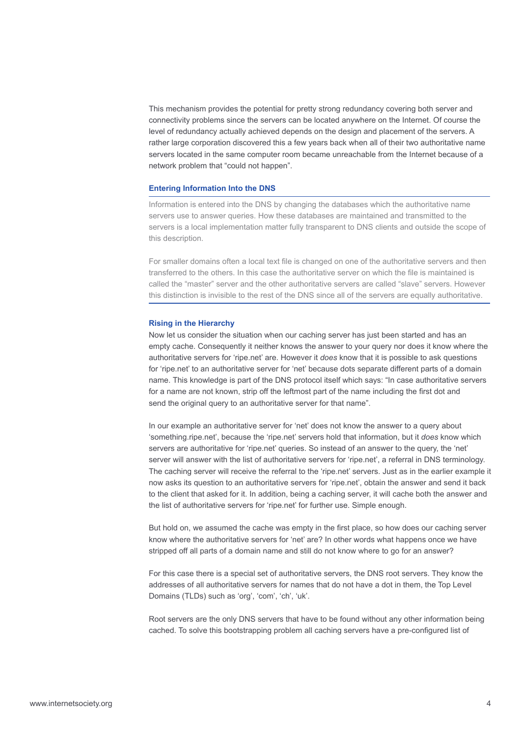This mechanism provides the potential for pretty strong redundancy covering both server and connectivity problems since the servers can be located anywhere on the Internet. Of course the level of redundancy actually achieved depends on the design and placement of the servers. A rather large corporation discovered this a few years back when all of their two authoritative name servers located in the same computer room became unreachable from the Internet because of a network problem that "could not happen".

# **Entering Information Into the DNS**

Information is entered into the DNS by changing the databases which the authoritative name servers use to answer queries. How these databases are maintained and transmitted to the servers is a local implementation matter fully transparent to DNS clients and outside the scope of this description.

For smaller domains often a local text file is changed on one of the authoritative servers and then transferred to the others. In this case the authoritative server on which the file is maintained is called the "master" server and the other authoritative servers are called "slave" servers. However this distinction is invisible to the rest of the DNS since all of the servers are equally authoritative.

#### **Rising in the Hierarchy**

Now let us consider the situation when our caching server has just been started and has an empty cache. Consequently it neither knows the answer to your query nor does it know where the authoritative servers for 'ripe.net' are. However it *does* know that it is possible to ask questions for 'ripe.net' to an authoritative server for 'net' because dots separate different parts of a domain name. This knowledge is part of the DNS protocol itself which says: "In case authoritative servers for a name are not known, strip off the leftmost part of the name including the first dot and send the original query to an authoritative server for that name".

In our example an authoritative server for 'net' does not know the answer to a query about 'something.ripe.net', because the 'ripe.net' servers hold that information, but it *does* know which servers are authoritative for 'ripe.net' queries. So instead of an answer to the query, the 'net' server will answer with the list of authoritative servers for 'ripe.net', a referral in DNS terminology. The caching server will receive the referral to the 'ripe.net' servers. Just as in the earlier example it now asks its question to an authoritative servers for 'ripe.net', obtain the answer and send it back to the client that asked for it. In addition, being a caching server, it will cache both the answer and the list of authoritative servers for 'ripe.net' for further use. Simple enough.

But hold on, we assumed the cache was empty in the first place, so how does our caching server know where the authoritative servers for 'net' are? In other words what happens once we have stripped off all parts of a domain name and still do not know where to go for an answer?

For this case there is a special set of authoritative servers, the DNS root servers. They know the addresses of all authoritative servers for names that do not have a dot in them, the Top Level Domains (TLDs) such as 'org', 'com', 'ch', 'uk'.

Root servers are the only DNS servers that have to be found without any other information being cached. To solve this bootstrapping problem all caching servers have a pre-configured list of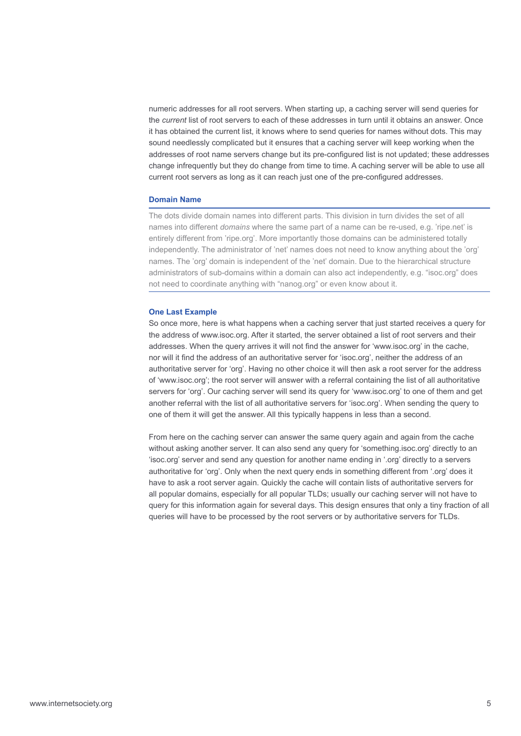numeric addresses for all root servers. When starting up, a caching server will send queries for the *current* list of root servers to each of these addresses in turn until it obtains an answer. Once it has obtained the current list, it knows where to send queries for names without dots. This may sound needlessly complicated but it ensures that a caching server will keep working when the addresses of root name servers change but its pre-configured list is not updated; these addresses change infrequently but they do change from time to time. A caching server will be able to use all current root servers as long as it can reach just one of the pre-configured addresses.

# **Domain Name**

The dots divide domain names into different parts. This division in turn divides the set of all names into different *domains* where the same part of a name can be re-used, e.g. 'ripe.net' is entirely different from 'ripe.org'. More importantly those domains can be administered totally independently. The administrator of 'net' names does not need to know anything about the 'org' names. The 'org' domain is independent of the 'net' domain. Due to the hierarchical structure administrators of sub-domains within a domain can also act independently, e.g. "isoc.org" does not need to coordinate anything with "nanog.org" or even know about it.

### **One Last Example**

So once more, here is what happens when a caching server that just started receives a query for the address of www.isoc.org. After it started, the server obtained a list of root servers and their addresses. When the query arrives it will not find the answer for 'www.isoc.org' in the cache, nor will it find the address of an authoritative server for 'isoc.org', neither the address of an authoritative server for 'org'. Having no other choice it will then ask a root server for the address of 'www.isoc.org'; the root server will answer with a referral containing the list of all authoritative servers for 'org'. Our caching server will send its query for 'www.isoc.org' to one of them and get another referral with the list of all authoritative servers for 'isoc.org'. When sending the query to one of them it will get the answer. All this typically happens in less than a second.

From here on the caching server can answer the same query again and again from the cache without asking another server. It can also send any query for 'something.isoc.org' directly to an 'isoc.org' server and send any question for another name ending in '.org' directly to a servers authoritative for 'org'. Only when the next query ends in something different from '.org' does it have to ask a root server again. Quickly the cache will contain lists of authoritative servers for all popular domains, especially for all popular TLDs; usually our caching server will not have to query for this information again for several days. This design ensures that only a tiny fraction of all queries will have to be processed by the root servers or by authoritative servers for TLDs.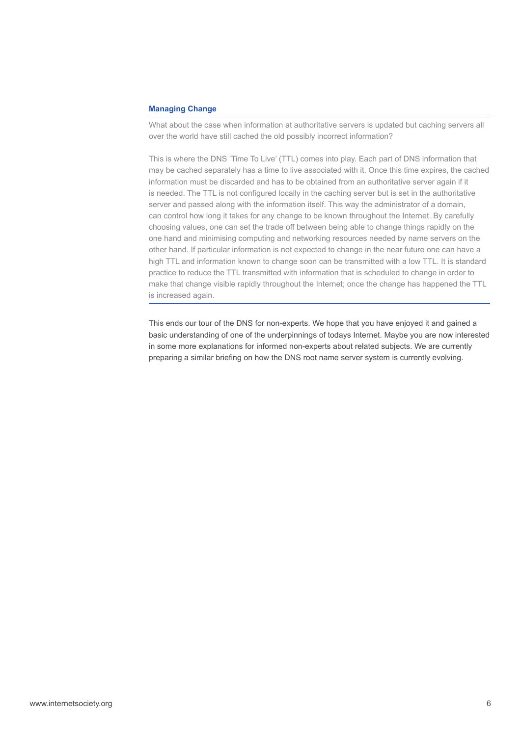# **Managing Change**

What about the case when information at authoritative servers is updated but caching servers all over the world have still cached the old possibly incorrect information?

This is where the DNS 'Time To Live' (TTL) comes into play. Each part of DNS information that may be cached separately has a time to live associated with it. Once this time expires, the cached information must be discarded and has to be obtained from an authoritative server again if it is needed. The TTL is not configured locally in the caching server but is set in the authoritative server and passed along with the information itself. This way the administrator of a domain, can control how long it takes for any change to be known throughout the Internet. By carefully choosing values, one can set the trade off between being able to change things rapidly on the one hand and minimising computing and networking resources needed by name servers on the other hand. If particular information is not expected to change in the near future one can have a high TTL and information known to change soon can be transmitted with a low TTL. It is standard practice to reduce the TTL transmitted with information that is scheduled to change in order to make that change visible rapidly throughout the Internet; once the change has happened the TTL is increased again.

This ends our tour of the DNS for non-experts. We hope that you have enjoyed it and gained a basic understanding of one of the underpinnings of todays Internet. Maybe you are now interested in some more explanations for informed non-experts about related subjects. We are currently preparing a similar briefing on how the DNS root name server system is currently evolving.